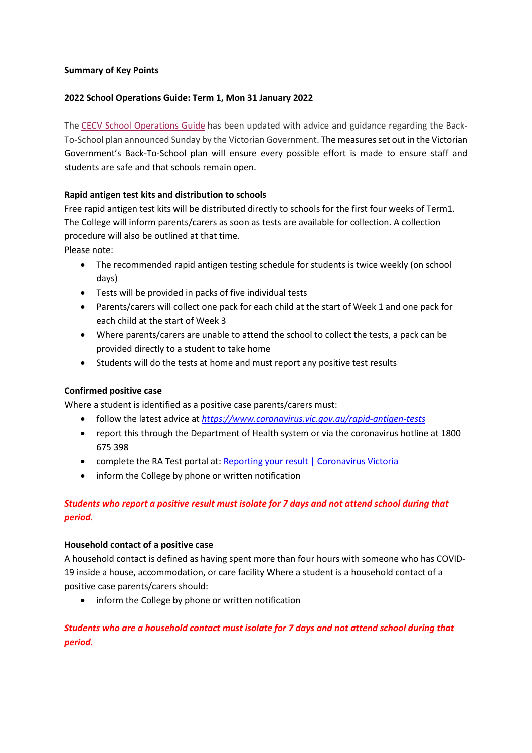#### Summary of Key Points

### 2022 School Operations Guide: Term 1, Mon 31 January 2022

The CECV School Operations Guide has been updated with advice and guidance regarding the Back-To-School plan announced Sunday by the Victorian Government. The measures set out in the Victorian Government's Back-To-School plan will ensure every possible effort is made to ensure staff and students are safe and that schools remain open.

# Rapid antigen test kits and distribution to schools

Free rapid antigen test kits will be distributed directly to schools for the first four weeks of Term1. The College will inform parents/carers as soon as tests are available for collection. A collection procedure will also be outlined at that time.

Please note:

- The recommended rapid antigen testing schedule for students is twice weekly (on school days)
- Tests will be provided in packs of five individual tests
- Parents/carers will collect one pack for each child at the start of Week 1 and one pack for each child at the start of Week 3
- Where parents/carers are unable to attend the school to collect the tests, a pack can be provided directly to a student to take home
- Students will do the tests at home and must report any positive test results

# Confirmed positive case

Where a student is identified as a positive case parents/carers must:

- follow the latest advice at https://www.coronavirus.vic.gov.au/rapid-antigen-tests
- report this through the Department of Health system or via the coronavirus hotline at 1800 675 398
- complete the RA Test portal at: Reporting your result | Coronavirus Victoria
- inform the College by phone or written notification

# Students who report a positive result must isolate for 7 days and not attend school during that period.

#### Household contact of a positive case

A household contact is defined as having spent more than four hours with someone who has COVID-19 inside a house, accommodation, or care facility Where a student is a household contact of a positive case parents/carers should:

• inform the College by phone or written notification

# Students who are a household contact must isolate for 7 days and not attend school during that period.